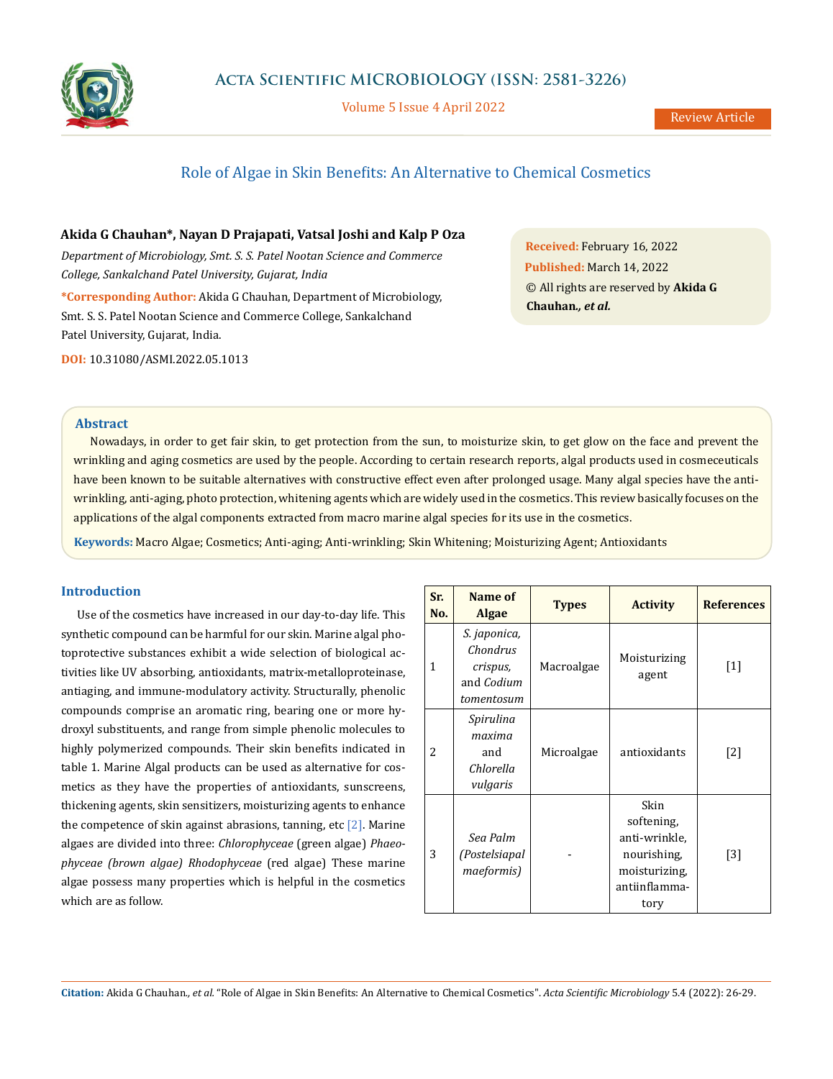

Volume 5 Issue 4 April 2022

# Role of Algae in Skin Benefits: An Alternative to Chemical Cosmetics

**Akida G Chauhan\*, Nayan D Prajapati, Vatsal Joshi and Kalp P Oza**

*Department of Microbiology, Smt. S. S. Patel Nootan Science and Commerce College, Sankalchand Patel University, Gujarat, India* **\*Corresponding Author:** Akida G Chauhan, Department of Microbiology, Smt. S. S. Patel Nootan Science and Commerce College, Sankalchand Patel University, Gujarat, India.

**DOI:** [10.31080/ASMI.2022.05.1013](http://https://actascientific.com/ASMI/pdf/ASMI-05-1031.pdf)

**Received:** February 16, 2022 **Published:** March 14, 2022 © All rights are reserved by **Akida G Chauhan***., et al.*

## **Abstract**

Nowadays, in order to get fair skin, to get protection from the sun, to moisturize skin, to get glow on the face and prevent the wrinkling and aging cosmetics are used by the people. According to certain research reports, algal products used in cosmeceuticals have been known to be suitable alternatives with constructive effect even after prolonged usage. Many algal species have the antiwrinkling, anti-aging, photo protection, whitening agents which are widely used in the cosmetics. This review basically focuses on the applications of the algal components extracted from macro marine algal species for its use in the cosmetics.

**Keywords:** Macro Algae; Cosmetics; Anti-aging; Anti-wrinkling; Skin Whitening; Moisturizing Agent; Antioxidants

## **Introduction**

Use of the cosmetics have increased in our day-to-day life. This synthetic compound can be harmful for our skin. Marine algal photoprotective substances exhibit a wide selection of biological activities like UV absorbing, antioxidants, matrix-metalloproteinase, antiaging, and immune-modulatory activity. Structurally, phenolic compounds comprise an aromatic ring, bearing one or more hydroxyl substituents, and range from simple phenolic molecules to highly polymerized compounds. Their skin benefits indicated in table 1. Marine Algal products can be used as alternative for cosmetics as they have the properties of antioxidants, sunscreens, thickening agents, skin sensitizers, moisturizing agents to enhance the competence of skin against abrasions, tanning, etc  $[2]$ . Marine algaes are divided into three: *Chlorophyceae* (green algae) *Phaeophyceae (brown algae) Rhodophyceae* (red algae) These marine algae possess many properties which is helpful in the cosmetics which are as follow.

| Sr.<br>No. | Name of<br>Algae                                                 | <b>Types</b> | <b>Activity</b>                                                                              | <b>References</b> |
|------------|------------------------------------------------------------------|--------------|----------------------------------------------------------------------------------------------|-------------------|
| 1          | S. japonica,<br>Chondrus<br>crispus,<br>and Codium<br>tomentosum | Macroalgae   | Moisturizing<br>agent                                                                        | $[1]$             |
| 2          | Spirulina<br>maxima<br>and<br>Chlorella<br>vulgaris              | Microalgae   | antioxidants                                                                                 | $[2]$             |
| 3          | Sea Palm<br>(Postelsiapal<br>maeformis)                          |              | Skin<br>softening,<br>anti-wrinkle,<br>nourishing,<br>moisturizing,<br>antiinflamma-<br>tory | $[3]$             |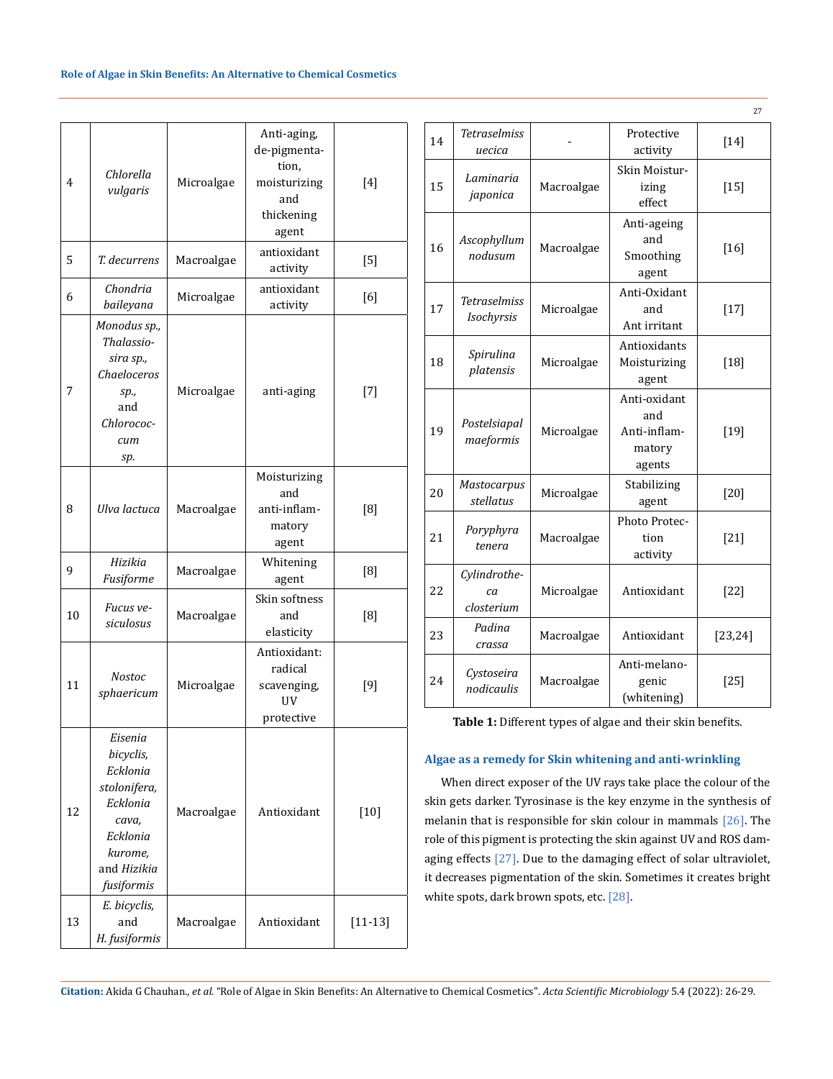| 4  | Chlorella<br>vulgaris                                                                                                     | Microalgae | Anti-aging,<br>de-pigmenta-<br>tion,<br>moisturizing<br>and<br>thickening<br>agent | $[4]$       |
|----|---------------------------------------------------------------------------------------------------------------------------|------------|------------------------------------------------------------------------------------|-------------|
| 5  | T. decurrens                                                                                                              | Macroalgae | antioxidant<br>activity                                                            | [5]         |
| 6  | Chondria<br>baileyana                                                                                                     | Microalgae | antioxidant<br>activity                                                            | [6]         |
| 7  | Monodus sp.,<br>Thalassio-<br>sira sp.,<br>Chaeloceros<br>sp.,<br>and<br>Chlorococ-<br>cum<br>sp.                         | Microalgae | anti-aging                                                                         | $[7]$       |
| 8  | Ulva lactuca                                                                                                              | Macroalgae | Moisturizing<br>and<br>anti-inflam-<br>matory<br>agent                             | [8]         |
| 9  | Hizikia<br>Fusiforme                                                                                                      | Macroalgae | Whitening<br>agent                                                                 | [8]         |
| 10 | Fucus ve-<br>siculosus                                                                                                    | Macroalgae | Skin softness<br>and<br>elasticity                                                 | [8]         |
| 11 | Nostoc<br>sphaericum                                                                                                      | Microalgae | Antioxidant:<br>radical<br>scavenging,<br><b>UV</b><br>protective                  | $[9]$       |
| 12 | Eisenia<br>bicyclis,<br>Ecklonia<br>stolonifera,<br>Ecklonia<br>cava,<br>Ecklonia<br>kurome,<br>and Hizikia<br>fusiformis | Macroalgae | Antioxidant                                                                        | $[10]$      |
| 13 | E. bicyclis,<br>and<br>H. fusiformis                                                                                      | Macroalgae | Antioxidant                                                                        | $[11 - 13]$ |

|    |                                  |            |                                                         | 27       |
|----|----------------------------------|------------|---------------------------------------------------------|----------|
| 14 | <b>Tetraselmiss</b><br>uecica    |            | Protective<br>activity                                  | $[14]$   |
| 15 | Laminaria<br>japonica            | Macroalgae | Skin Moistur-<br>izing<br>effect                        | $[15]$   |
| 16 | Ascophyllum<br>nodusum           | Macroalgae | Anti-ageing<br>and<br>Smoothing<br>agent                | $[16]$   |
| 17 | Tetraselmiss<br>Isochyrsis       | Microalgae | Anti-Oxidant<br>and<br>Ant irritant                     | $[17]$   |
| 18 | Spirulina<br>platensis           | Microalgae | Antioxidants<br>Moisturizing<br>agent                   | $[18]$   |
| 19 | Postelsiapal<br>maeformis        | Microalgae | Anti-oxidant<br>and<br>Anti-inflam-<br>matory<br>agents | $[19]$   |
| 20 | <b>Mastocarpus</b><br>stellatus  | Microalgae | Stabilizing<br>agent                                    | $[20]$   |
| 21 | Poryphyra<br>tenera              | Macroalgae | Photo Protec-<br>tion<br>activity                       | $[21]$   |
| 22 | Cylindrothe-<br>ca<br>closterium | Microalgae | Antioxidant                                             | $[22]$   |
| 23 | Padina<br>crassa                 | Macroalgae | Antioxidant                                             | [23, 24] |
| 24 | Cystoseira<br>nodicaulis         | Macroalgae | Anti-melano-<br>genic<br>(whitening)                    | $[25]$   |

**Table 1:** Different types of algae and their skin benefits.

## **Algae as a remedy for Skin whitening and anti-wrinkling**

When direct exposer of the UV rays take place the colour of the skin gets darker. Tyrosinase is the key enzyme in the synthesis of melanin that is responsible for skin colour in mammals [26]. The role of this pigment is protecting the skin against UV and ROS damaging effects [27]. Due to the damaging effect of solar ultraviolet, it decreases pigmentation of the skin. Sometimes it creates bright white spots, dark brown spots, etc. [28].

**Citation:** Akida G Chauhan*., et al.* "Role of Algae in Skin Benefits: An Alternative to Chemical Cosmetics". *Acta Scientific Microbiology* 5.4 (2022): 26-29.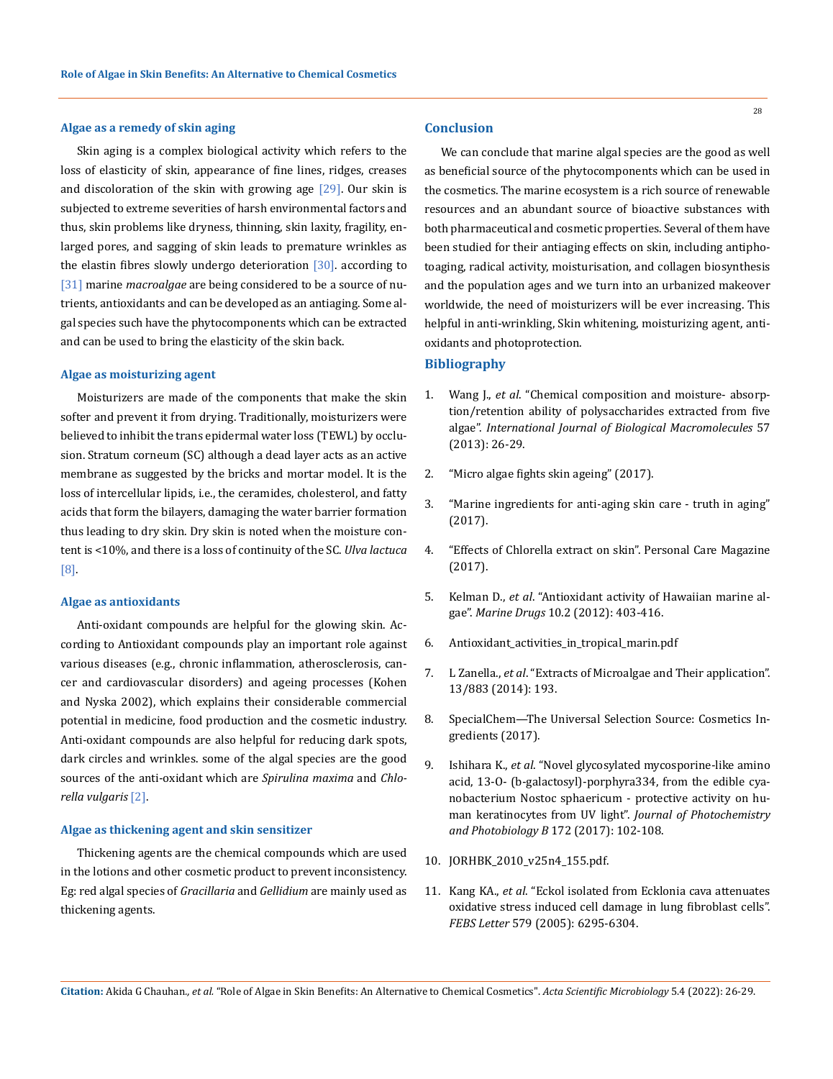#### **Algae as a remedy of skin aging**

Skin aging is a complex biological activity which refers to the loss of elasticity of skin, appearance of fine lines, ridges, creases and discoloration of the skin with growing age  $[29]$ . Our skin is subjected to extreme severities of harsh environmental factors and thus, skin problems like dryness, thinning, skin laxity, fragility, enlarged pores, and sagging of skin leads to premature wrinkles as the elastin fibres slowly undergo deterioration [30]. according to [31] marine *macroalgae* are being considered to be a source of nutrients, antioxidants and can be developed as an antiaging. Some algal species such have the phytocomponents which can be extracted and can be used to bring the elasticity of the skin back.

### **Algae as moisturizing agent**

Moisturizers are made of the components that make the skin softer and prevent it from drying. Traditionally, moisturizers were believed to inhibit the trans epidermal water loss (TEWL) by occlusion. Stratum corneum (SC) although a dead layer acts as an active membrane as suggested by the bricks and mortar model. It is the loss of intercellular lipids, i.e., the ceramides, cholesterol, and fatty acids that form the bilayers, damaging the water barrier formation thus leading to dry skin. Dry skin is noted when the moisture content is <10%, and there is a loss of continuity of the SC. *Ulva lactuca*  [8].

#### **Algae as antioxidants**

Anti-oxidant compounds are helpful for the glowing skin. According to Antioxidant compounds play an important role against various diseases (e.g., chronic inflammation, atherosclerosis, cancer and cardiovascular disorders) and ageing processes (Kohen and Nyska 2002), which explains their considerable commercial potential in medicine, food production and the cosmetic industry. Anti-oxidant compounds are also helpful for reducing dark spots, dark circles and wrinkles. some of the algal species are the good sources of the anti-oxidant which are *Spirulina maxima* and *Chlorella vulgaris* [2].

## **Algae as thickening agent and skin sensitizer**

Thickening agents are the chemical compounds which are used in the lotions and other cosmetic product to prevent inconsistency. Eg: red algal species of *Gracillaria* and *Gellidium* are mainly used as thickening agents.

## **Conclusion**

We can conclude that marine algal species are the good as well as beneficial source of the phytocomponents which can be used in the cosmetics. The marine ecosystem is a rich source of renewable resources and an abundant source of bioactive substances with both pharmaceutical and cosmetic properties. Several of them have been studied for their antiaging effects on skin, including antiphotoaging, radical activity, moisturisation, and collagen biosynthesis and the population ages and we turn into an urbanized makeover worldwide, the need of moisturizers will be ever increasing. This helpful in anti-wrinkling, Skin whitening, moisturizing agent, antioxidants and photoprotection.

## **Bibliography**

- 1. Wang J., *et al*[. "Chemical composition and moisture- absorp](https://pubmed.ncbi.nlm.nih.gov/23500437/)[tion/retention ability of polysaccharides extracted from five](https://pubmed.ncbi.nlm.nih.gov/23500437/)  algae". *[International Journal of Biological Macromolecules](https://pubmed.ncbi.nlm.nih.gov/23500437/)* 57 [\(2013\): 26-29.](https://pubmed.ncbi.nlm.nih.gov/23500437/)
- 2. "Micro algae fights skin ageing" (2017).
- 3. "Marine ingredients for anti-aging skin care truth in aging" (2017).
- 4. "Effects of Chlorella extract on skin". Personal Care Magazine (2017).
- 5. Kelman D., *et al*[. "Antioxidant activity of Hawaiian marine al](https://pubmed.ncbi.nlm.nih.gov/22412808/)gae". *Marine Drugs* [10.2 \(2012\): 403-416.](https://pubmed.ncbi.nlm.nih.gov/22412808/)
- 6. Antioxidant\_activities\_in\_tropical\_marin.pdf
- 7. L Zanella., *et al*[. "Extracts of Microalgae and Their application".](https://patents.google.com/patent/US9974819B2/en)  [13/883 \(2014\): 193.](https://patents.google.com/patent/US9974819B2/en)
- 8. SpecialChem—The Universal Selection Source: Cosmetics Ingredients (2017).
- 9. Ishihara K., *et al*[. "Novel glycosylated mycosporine-like amino](https://pubmed.ncbi.nlm.nih.gov/28544967/)  [acid, 13-O- \(b-galactosyl\)-porphyra334, from the edible cya](https://pubmed.ncbi.nlm.nih.gov/28544967/)[nobacterium Nostoc sphaericum - protective activity on hu](https://pubmed.ncbi.nlm.nih.gov/28544967/)[man keratinocytes from UV light".](https://pubmed.ncbi.nlm.nih.gov/28544967/) *Journal of Photochemistry and Photobiology B* [172 \(2017\): 102-108.](https://pubmed.ncbi.nlm.nih.gov/28544967/)
- 10. JORHBK\_2010\_v25n4\_155.pdf.
- 11. Kang KA., *et al*[. "Eckol isolated from Ecklonia cava attenuates](https://pubmed.ncbi.nlm.nih.gov/16253238/)  [oxidative stress induced cell damage in lung fibroblast cells".](https://pubmed.ncbi.nlm.nih.gov/16253238/)  *FEBS Letter* [579 \(2005\): 6295-6304.](https://pubmed.ncbi.nlm.nih.gov/16253238/)